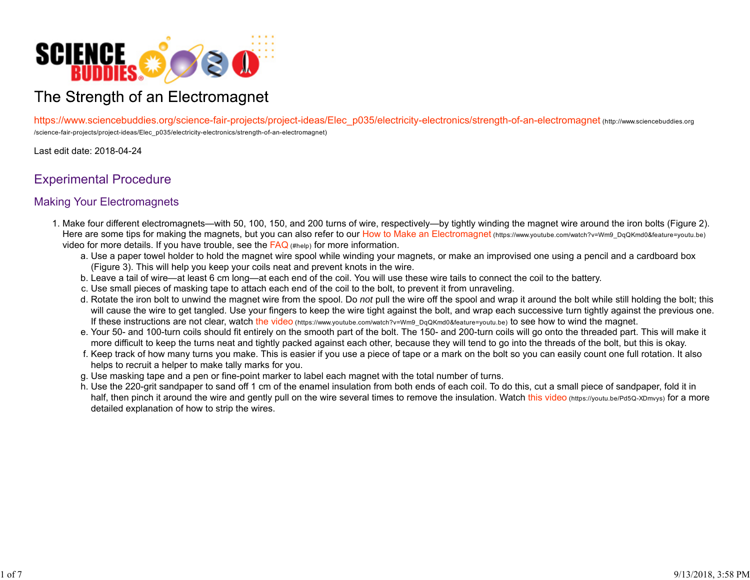

# The Strength of an Electromagnet

https://www.sciencebuddies.org/science-fair-projects/project-ideas/Elec\_p035/electricity-electronics/strength-of-an-electromagnet (http://www.sciencebuddies.org /science-fair-projects/project-ideas/Elec\_p035/electricity-electronics/strength-of-an-electromagnet)

Last edit date: 2018-04-24

## Experimental Procedure

#### Making Your Electromagnets

- Make four different electromagnets—with 50, 100, 150, and 200 turns of wire, respectively—by tightly winding the magnet wire around the iron bolts (Figure 2). 1. Here are some tips for making the magnets, but you can also refer to our How to Make an Electromagnet (https://www.youtube.com/watch?v=Wm9\_DqQKmd0&feature=youtu.be) video for more details. If you have trouble, see the  $\overline{\mathsf{FAQ}}$  (#help) for more information.
	- a. Use a paper towel holder to hold the magnet wire spool while winding your magnets, or make an improvised one using a pencil and a cardboard box (Figure 3). This will help you keep your coils neat and prevent knots in the wire.
	- b. Leave a tail of wire—at least 6 cm long—at each end of the coil. You will use these wire tails to connect the coil to the battery.
	- c. Use small pieces of masking tape to attach each end of the coil to the bolt, to prevent it from unraveling.
	- d. Rotate the iron bolt to unwind the magnet wire from the spool. Do *not* pull the wire off the spool and wrap it around the bolt while still holding the bolt; this will cause the wire to get tangled. Use your fingers to keep the wire tight against the bolt, and wrap each successive turn tightly against the previous one. If these instructions are not clear, watch the video (https://www.youtube.com/watch?v=Wm9\_DqQKmd0&feature=youtu.be) to see how to wind the magnet.
	- e. Your 50- and 100-turn coils should fit entirely on the smooth part of the bolt. The 150- and 200-turn coils will go onto the threaded part. This will make it more difficult to keep the turns neat and tightly packed against each other, because they will tend to go into the threads of the bolt, but this is okay.
	- f. Keep track of how many turns you make. This is easier if you use a piece of tape or a mark on the bolt so you can easily count one full rotation. It also helps to recruit a helper to make tally marks for you.
	- g. Use masking tape and a pen or fine-point marker to label each magnet with the total number of turns.
	- h. Use the 220-grit sandpaper to sand off 1 cm of the enamel insulation from both ends of each coil. To do this, cut a small piece of sandpaper, fold it in half, then pinch it around the wire and gently pull on the wire several times to remove the insulation. Watch this video (https://youtu.be/Pd5Q-XDmvys) for a more detailed explanation of how to strip the wires.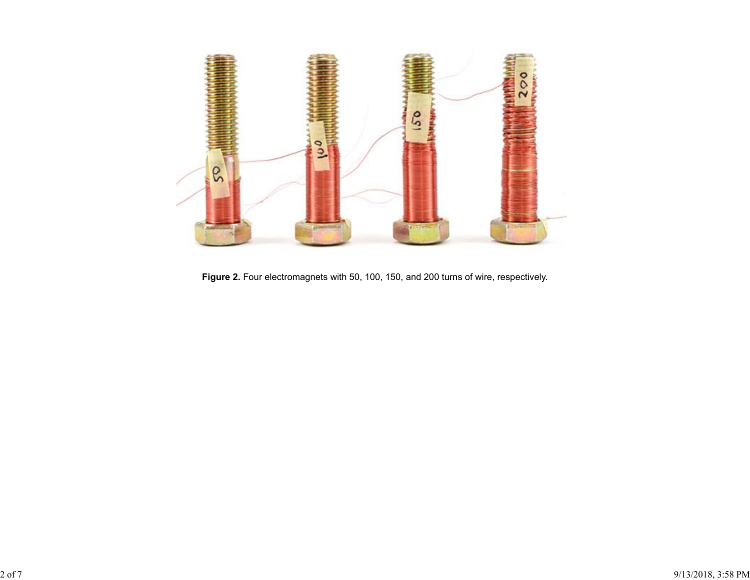

**Figure 2.** Four electromagnets with 50, 100, 150, and 200 turns of wire, respectively.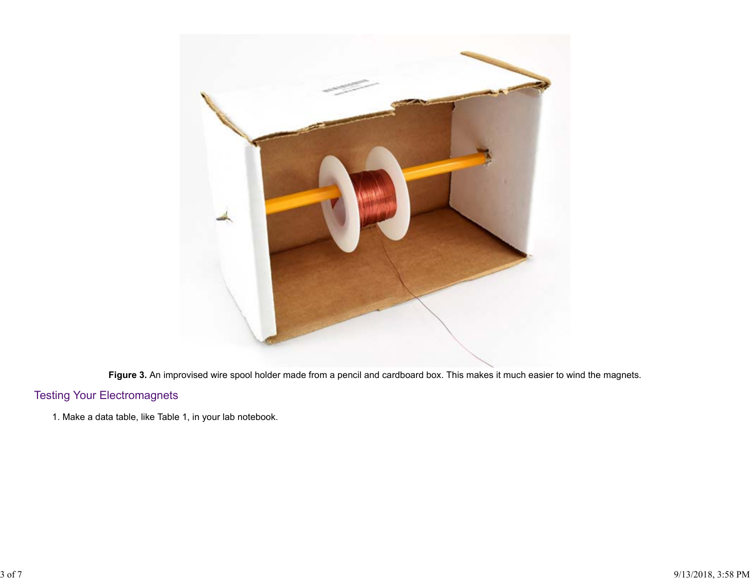

**Figure 3.** An improvised wire spool holder made from a pencil and cardboard box. This makes it much easier to wind the magnets.

# Testing Your Electromagnets

1. Make a data table, like Table 1, in your lab notebook.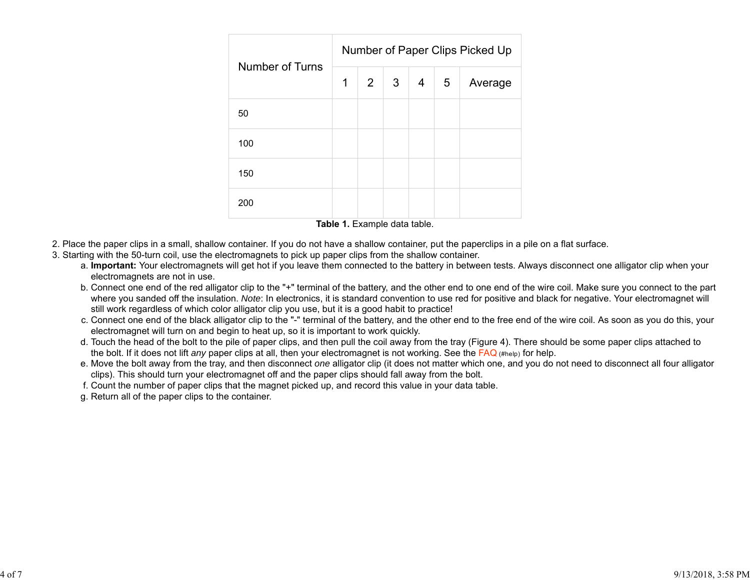| <b>Number of Turns</b>       | Number of Paper Clips Picked Up |                |                |  |            |         |
|------------------------------|---------------------------------|----------------|----------------|--|------------|---------|
|                              | 1                               | $\overline{2}$ | 3 <sup>1</sup> |  | $4 \mid 5$ | Average |
| 50                           |                                 |                |                |  |            |         |
| 100                          |                                 |                |                |  |            |         |
| 150                          |                                 |                |                |  |            |         |
| 200                          |                                 |                |                |  |            |         |
| Table 1. Example data table. |                                 |                |                |  |            |         |

- 2. Place the paper clips in a small, shallow container. If you do not have a shallow container, put the paperclips in a pile on a flat surface.
- 3. Starting with the 50-turn coil, use the electromagnets to pick up paper clips from the shallow container.
	- **Important:** Your electromagnets will get hot if you leave them connected to the battery in between tests. Always disconnect one alligator clip when your a. electromagnets are not in use.
	- b. Connect one end of the red alligator clip to the "+" terminal of the battery, and the other end to one end of the wire coil. Make sure you connect to the part where you sanded off the insulation. *Note*: In electronics, it is standard convention to use red for positive and black for negative. Your electromagnet will still work regardless of which color alligator clip you use, but it is a good habit to practice!
	- c. Connect one end of the black alligator clip to the "-" terminal of the battery, and the other end to the free end of the wire coil. As soon as you do this, your electromagnet will turn on and begin to heat up, so it is important to work quickly.
	- d. Touch the head of the bolt to the pile of paper clips, and then pull the coil away from the tray (Figure 4). There should be some paper clips attached to the bolt. If it does not lift *any* paper clips at all, then your electromagnet is not working. See the FAQ (#help) for help.
	- e. Move the bolt away from the tray, and then disconnect *one* alligator clip (it does not matter which one, and you do not need to disconnect all four alligator clips). This should turn your electromagnet off and the paper clips should fall away from the bolt.
	- f. Count the number of paper clips that the magnet picked up, and record this value in your data table.
	- g. Return all of the paper clips to the container.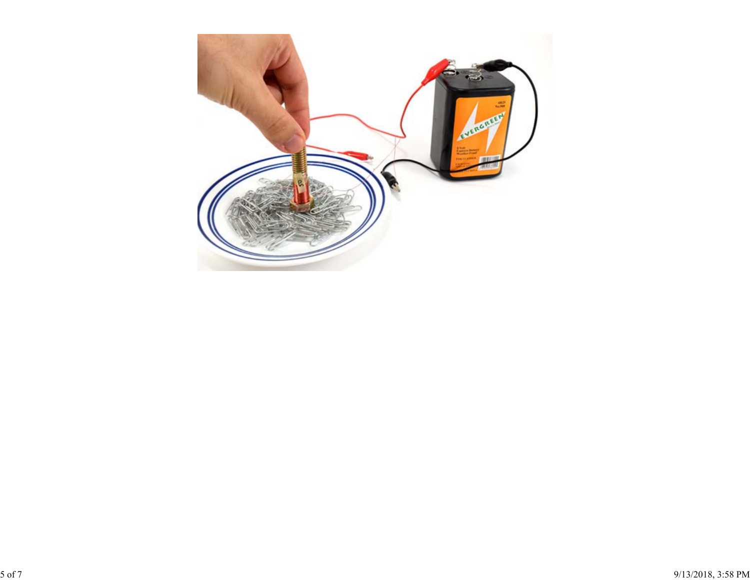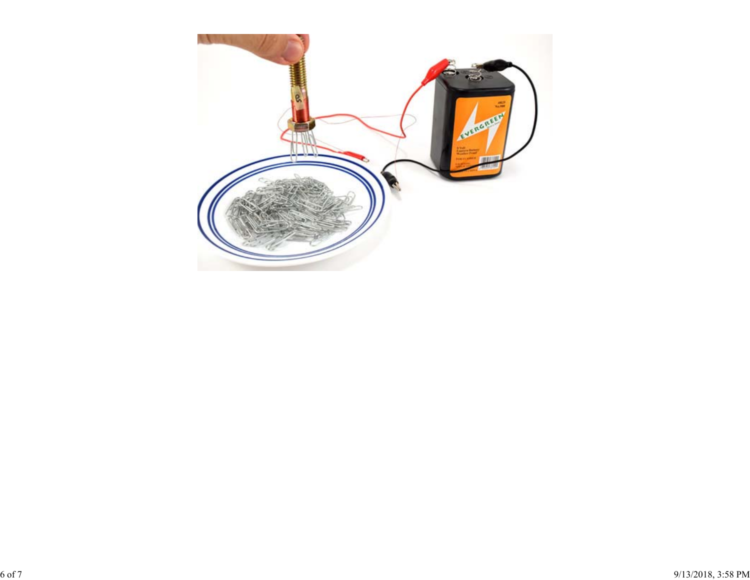